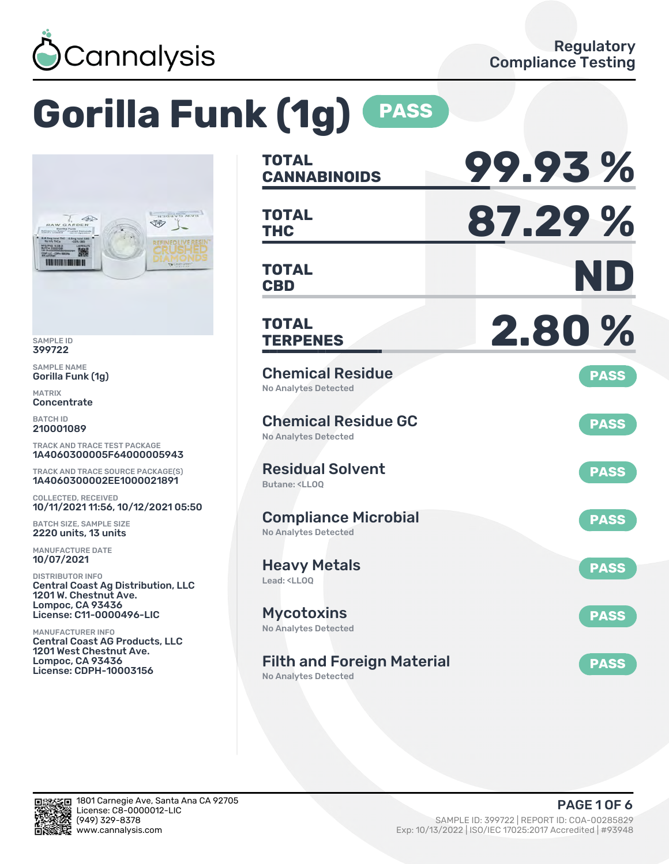

# **Gorilla Funk (1g) PASS**



SAMPLE ID 399722

SAMPLE NAME Gorilla Funk (1g)

MATRIX **Concentrate** 

BATCH ID 210001089

TRACK AND TRACE TEST PACKAGE 1A4060300005F64000005943

TRACK AND TRACE SOURCE PACKAGE(S) 1A4060300002EE1000021891

COLLECTED, RECEIVED 10/11/2021 11:56, 10/12/2021 05:50

BATCH SIZE, SAMPLE SIZE 2220 units, 13 units

MANUFACTURE DATE 10/07/2021

DISTRIBUTOR INFO Central Coast Ag Distribution, LLC 1201 W. Chestnut Ave. Lompoc, CA 93436 License: C11-0000496-LIC

MANUFACTURER INFO Central Coast AG Products, LLC 1201 West Chestnut Ave. Lompoc, CA 93436 License: CDPH-10003156

| <b>TOTAL</b><br><b>CANNABINOIDS</b>                                    | 99.93%      |
|------------------------------------------------------------------------|-------------|
| <b>TOTAL</b><br><b>THC</b>                                             | 87.29 %     |
| <b>TOTAL</b><br><b>CBD</b>                                             | ND          |
| <b>TOTAL</b><br><b>TERPENES</b>                                        | 2.80%       |
| <b>Chemical Residue</b><br><b>No Analytes Detected</b>                 | <b>PASS</b> |
| <b>Chemical Residue GC</b><br><b>No Analytes Detected</b>              | <b>PASS</b> |
| <b>Residual Solvent</b><br><b>Butane: <lloo< b=""></lloo<></b>         | <b>PASS</b> |
| <b>Compliance Microbial</b><br><b>No Analytes Detected</b>             | <b>PASS</b> |
| <b>Heavy Metals</b><br>Lead: <ll00< td=""><td><b>PASS</b></td></ll00<> | <b>PASS</b> |
| <b>Mycotoxins</b><br>No Analytes Detected                              | <b>PASS</b> |
| <b>Filth and Foreign Material</b><br>No Analytes Detected              | <b>PASS</b> |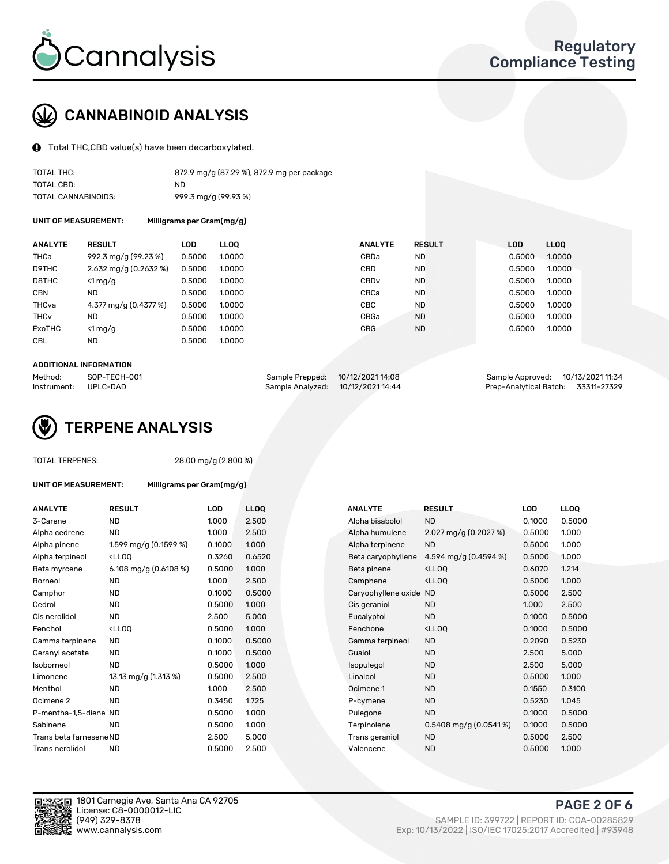

# CANNABINOID ANALYSIS

Total THC,CBD value(s) have been decarboxylated.

| TOTAL THC:          | 872.9 mg/g (87.29 %), 872.9 mg per package |
|---------------------|--------------------------------------------|
| TOTAL CBD:          | ND.                                        |
| TOTAL CANNABINOIDS: | 999.3 mg/g (99.93 %)                       |

UNIT OF MEASUREMENT: Milligrams per Gram(mg/g)

| <b>ANALYTE</b>         | <b>RESULT</b>         | <b>LOD</b> | <b>LLOO</b> | <b>ANALYTE</b>   | <b>RESULT</b> | <b>LOD</b> | LL <sub>00</sub> |
|------------------------|-----------------------|------------|-------------|------------------|---------------|------------|------------------|
| THCa                   | 992.3 mg/g (99.23 %)  | 0.5000     | 1.0000      | CBDa             | <b>ND</b>     | 0.5000     | 1.0000           |
| D9THC                  | 2.632 mg/g (0.2632 %) | 0.5000     | 1.0000      | CBD              | <b>ND</b>     | 0.5000     | 1.0000           |
| D8THC                  | $<$ 1 mg/g            | 0.5000     | 1.0000      | CBD <sub>v</sub> | <b>ND</b>     | 0.5000     | 1.0000           |
| <b>CBN</b>             | <b>ND</b>             | 0.5000     | 1.0000      | CBCa             | <b>ND</b>     | 0.5000     | 1.0000           |
| THCva                  | 4.377 mg/g (0.4377 %) | 0.5000     | 1.0000      | CBC              | <b>ND</b>     | 0.5000     | 1.0000           |
| <b>THC<sub>v</sub></b> | <b>ND</b>             | 0.5000     | 1.0000      | CBGa             | <b>ND</b>     | 0.5000     | 1.0000           |
| ExoTHC                 | $<$ 1 mg/g            | 0.5000     | 1.0000      | <b>CBG</b>       | <b>ND</b>     | 0.5000     | 1.0000           |
| <b>CBL</b>             | <b>ND</b>             | 0.5000     | 1.0000      |                  |               |            |                  |
|                        |                       |            |             |                  |               |            |                  |

#### ADDITIONAL INFORMATION

| Method:     | SOP-TECH-001 | Sample Prepped: 10/12/2021 14:08  | Sample Approved: 10/13/2021 11:34  |  |
|-------------|--------------|-----------------------------------|------------------------------------|--|
| Instrument: | UPLC-DAD.    | Sample Analyzed: 10/12/2021 14:44 | Prep-Analytical Batch: 33311-27329 |  |



TOTAL TERPENES: 28.00 mg/g (2.800 %)

| UNIT OF MEASUREMENT: | Milligrams per Gram(mg/g) |
|----------------------|---------------------------|
|----------------------|---------------------------|

| <b>ANALYTE</b>          | <b>RESULT</b>                                                                                                                             | LOD    | <b>LLOO</b> | <b>ANALYTE</b>         | <b>RESULT</b>                                       | <b>LOD</b> | <b>LLOQ</b> |
|-------------------------|-------------------------------------------------------------------------------------------------------------------------------------------|--------|-------------|------------------------|-----------------------------------------------------|------------|-------------|
| 3-Carene                | ND.                                                                                                                                       | 1.000  | 2.500       | Alpha bisabolol        | <b>ND</b>                                           | 0.1000     | 0.5000      |
| Alpha cedrene           | ND.                                                                                                                                       | 1.000  | 2.500       | Alpha humulene         | 2.027 mg/g $(0.2027%)$                              | 0.5000     | 1.000       |
| Alpha pinene            | 1.599 mg/g (0.1599 %)                                                                                                                     | 0.1000 | 1.000       | Alpha terpinene        | <b>ND</b>                                           | 0.5000     | 1.000       |
| Alpha terpineol         | <lloq< td=""><td>0.3260</td><td>0.6520</td><td>Beta caryophyllene</td><td>4.594 mg/g (0.4594 %)</td><td>0.5000</td><td>1.000</td></lloq<> | 0.3260 | 0.6520      | Beta caryophyllene     | 4.594 mg/g (0.4594 %)                               | 0.5000     | 1.000       |
| Beta myrcene            | 6.108 mg/g $(0.6108\%)$                                                                                                                   | 0.5000 | 1.000       | Beta pinene            | <lloq< td=""><td>0.6070</td><td>1.214</td></lloq<>  | 0.6070     | 1.214       |
| Borneol                 | <b>ND</b>                                                                                                                                 | 1.000  | 2.500       | Camphene               | <lloq< td=""><td>0.5000</td><td>1.000</td></lloq<>  | 0.5000     | 1.000       |
| Camphor                 | <b>ND</b>                                                                                                                                 | 0.1000 | 0.5000      | Caryophyllene oxide ND |                                                     | 0.5000     | 2.500       |
| Cedrol                  | ND.                                                                                                                                       | 0.5000 | 1.000       | Cis geraniol           | <b>ND</b>                                           | 1.000      | 2.500       |
| Cis nerolidol           | ND.                                                                                                                                       | 2.500  | 5.000       | Eucalyptol             | <b>ND</b>                                           | 0.1000     | 0.5000      |
| Fenchol                 | <lloq< td=""><td>0.5000</td><td>1.000</td><td>Fenchone</td><td><lloq< td=""><td>0.1000</td><td>0.5000</td></lloq<></td></lloq<>           | 0.5000 | 1.000       | Fenchone               | <lloq< td=""><td>0.1000</td><td>0.5000</td></lloq<> | 0.1000     | 0.5000      |
| Gamma terpinene         | ND.                                                                                                                                       | 0.1000 | 0.5000      | Gamma terpineol        | <b>ND</b>                                           | 0.2090     | 0.5230      |
| Geranyl acetate         | <b>ND</b>                                                                                                                                 | 0.1000 | 0.5000      | Guaiol                 | <b>ND</b>                                           | 2.500      | 5.000       |
| Isoborneol              | ND.                                                                                                                                       | 0.5000 | 1.000       | Isopulegol             | <b>ND</b>                                           | 2.500      | 5.000       |
| Limonene                | 13.13 mg/g (1.313 %)                                                                                                                      | 0.5000 | 2.500       | Linalool               | <b>ND</b>                                           | 0.5000     | 1.000       |
| Menthol                 | <b>ND</b>                                                                                                                                 | 1.000  | 2.500       | Ocimene 1              | <b>ND</b>                                           | 0.1550     | 0.3100      |
| Ocimene 2               | <b>ND</b>                                                                                                                                 | 0.3450 | 1.725       | P-cymene               | <b>ND</b>                                           | 0.5230     | 1.045       |
| P-mentha-1,5-diene ND   |                                                                                                                                           | 0.5000 | 1.000       | Pulegone               | <b>ND</b>                                           | 0.1000     | 0.5000      |
| Sabinene                | <b>ND</b>                                                                                                                                 | 0.5000 | 1.000       | Terpinolene            | $0.5408$ mg/g $(0.0541\%)$                          | 0.1000     | 0.5000      |
| Trans beta farnesene ND |                                                                                                                                           | 2.500  | 5.000       | Trans geraniol         | <b>ND</b>                                           | 0.5000     | 2.500       |
| Trans nerolidol         | <b>ND</b>                                                                                                                                 | 0.5000 | 2.500       | Valencene              | <b>ND</b>                                           | 0.5000     | 1.000       |

| ANALYTE                 | <b>RESULT</b>                                                                                                                             | <b>LOD</b> | <b>LLOQ</b> | <b>ANALYTE</b>         | <b>RESULT</b>                                       | <b>LOD</b> | <b>LLOQ</b> |
|-------------------------|-------------------------------------------------------------------------------------------------------------------------------------------|------------|-------------|------------------------|-----------------------------------------------------|------------|-------------|
| 3-Carene                | <b>ND</b>                                                                                                                                 | 1.000      | 2.500       | Alpha bisabolol        | <b>ND</b>                                           | 0.1000     | 0.5000      |
| Alpha cedrene           | <b>ND</b>                                                                                                                                 | 1.000      | 2.500       | Alpha humulene         | 2.027 mg/g (0.2027 %)                               | 0.5000     | 1.000       |
| Alpha pinene            | 1.599 mg/g $(0.1599\%)$                                                                                                                   | 0.1000     | 1.000       | Alpha terpinene        | <b>ND</b>                                           | 0.5000     | 1.000       |
| Alpha terpineol         | <lloq< td=""><td>0.3260</td><td>0.6520</td><td>Beta caryophyllene</td><td>4.594 mg/g (0.4594 %)</td><td>0.5000</td><td>1.000</td></lloq<> | 0.3260     | 0.6520      | Beta caryophyllene     | 4.594 mg/g (0.4594 %)                               | 0.5000     | 1.000       |
| Beta myrcene            | 6.108 mg/g $(0.6108\%)$                                                                                                                   | 0.5000     | 1.000       | Beta pinene            | <ll0q< td=""><td>0.6070</td><td>1.214</td></ll0q<>  | 0.6070     | 1.214       |
| Borneol                 | <b>ND</b>                                                                                                                                 | 1.000      | 2.500       | Camphene               | <ll0q< td=""><td>0.5000</td><td>1.000</td></ll0q<>  | 0.5000     | 1.000       |
| Camphor                 | <b>ND</b>                                                                                                                                 | 0.1000     | 0.5000      | Caryophyllene oxide ND |                                                     | 0.5000     | 2.500       |
| Cedrol                  | <b>ND</b>                                                                                                                                 | 0.5000     | 1.000       | Cis geraniol           | <b>ND</b>                                           | 1.000      | 2.500       |
| Cis nerolidol           | <b>ND</b>                                                                                                                                 | 2.500      | 5.000       | Eucalyptol             | <b>ND</b>                                           | 0.1000     | 0.5000      |
| Fenchol                 | <lloq< td=""><td>0.5000</td><td>1.000</td><td>Fenchone</td><td><lloq< td=""><td>0.1000</td><td>0.5000</td></lloq<></td></lloq<>           | 0.5000     | 1.000       | Fenchone               | <lloq< td=""><td>0.1000</td><td>0.5000</td></lloq<> | 0.1000     | 0.5000      |
| Gamma terpinene         | ND.                                                                                                                                       | 0.1000     | 0.5000      | Gamma terpineol        | <b>ND</b>                                           | 0.2090     | 0.5230      |
| Geranyl acetate         | <b>ND</b>                                                                                                                                 | 0.1000     | 0.5000      | Guaiol                 | <b>ND</b>                                           | 2.500      | 5.000       |
| Isoborneol              | <b>ND</b>                                                                                                                                 | 0.5000     | 1.000       | Isopulegol             | <b>ND</b>                                           | 2.500      | 5.000       |
| Limonene                | 13.13 mg/g (1.313 %)                                                                                                                      | 0.5000     | 2.500       | Linalool               | <b>ND</b>                                           | 0.5000     | 1.000       |
| Menthol                 | <b>ND</b>                                                                                                                                 | 1.000      | 2.500       | Ocimene 1              | <b>ND</b>                                           | 0.1550     | 0.3100      |
| Ocimene 2               | <b>ND</b>                                                                                                                                 | 0.3450     | 1.725       | P-cymene               | <b>ND</b>                                           | 0.5230     | 1.045       |
| P-mentha-1,5-diene ND   |                                                                                                                                           | 0.5000     | 1.000       | Pulegone               | <b>ND</b>                                           | 0.1000     | 0.5000      |
| Sabinene                | <b>ND</b>                                                                                                                                 | 0.5000     | 1.000       | Terpinolene            | $0.5408$ mg/g $(0.0541\%)$                          | 0.1000     | 0.5000      |
| Trans beta farnesene ND |                                                                                                                                           | 2.500      | 5.000       | Trans geraniol         | <b>ND</b>                                           | 0.5000     | 2.500       |
| Trans nerolidol         | <b>ND</b>                                                                                                                                 | 0.5000     | 2.500       | Valencene              | <b>ND</b>                                           | 0.5000     | 1.000       |



PAGE 2 OF 6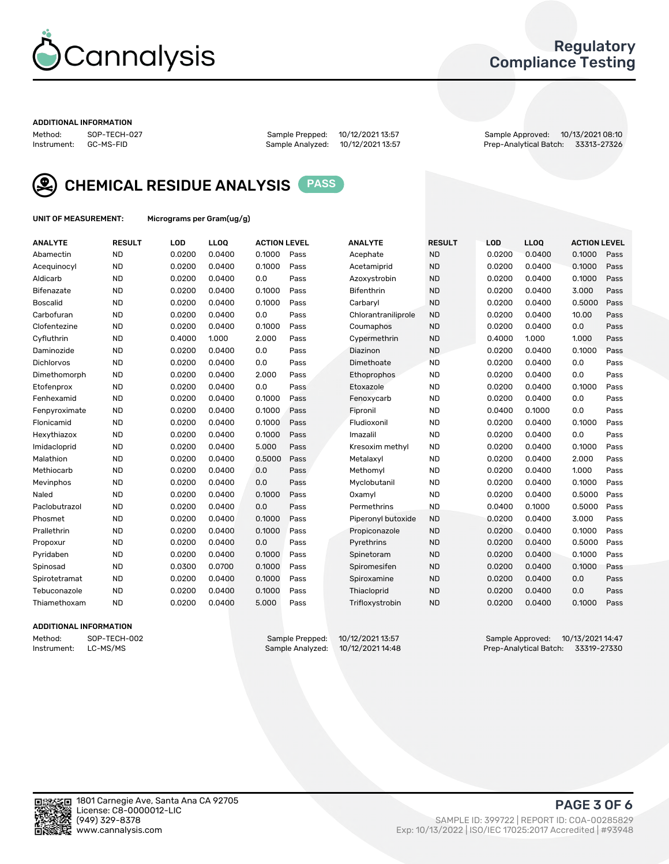

## Regulatory Compliance Testing

#### ADDITIONAL INFORMATION

Method: SOP-TECH-027 Sample Prepped: 10/12/2021 13:57 Sample Approved: 10/13/2021 08:10 Prep-Analytical Batch: 33313-27326



CHEMICAL RESIDUE ANALYSIS PASS

UNIT OF MEASUREMENT: Micrograms per Gram(ug/g)

| <b>ANALYTE</b>    | <b>RESULT</b> | LOD    | <b>LLOQ</b> | <b>ACTION LEVEL</b> |      | <b>ANALYTE</b>      | <b>RESULT</b> | <b>LOD</b> | <b>LLOQ</b> | <b>ACTION LEVEL</b> |      |
|-------------------|---------------|--------|-------------|---------------------|------|---------------------|---------------|------------|-------------|---------------------|------|
| Abamectin         | <b>ND</b>     | 0.0200 | 0.0400      | 0.1000              | Pass | Acephate            | <b>ND</b>     | 0.0200     | 0.0400      | 0.1000              | Pass |
| Acequinocyl       | <b>ND</b>     | 0.0200 | 0.0400      | 0.1000              | Pass | Acetamiprid         | <b>ND</b>     | 0.0200     | 0.0400      | 0.1000              | Pass |
| Aldicarb          | <b>ND</b>     | 0.0200 | 0.0400      | 0.0                 | Pass | Azoxystrobin        | <b>ND</b>     | 0.0200     | 0.0400      | 0.1000              | Pass |
| Bifenazate        | <b>ND</b>     | 0.0200 | 0.0400      | 0.1000              | Pass | <b>Bifenthrin</b>   | <b>ND</b>     | 0.0200     | 0.0400      | 3.000               | Pass |
| <b>Boscalid</b>   | <b>ND</b>     | 0.0200 | 0.0400      | 0.1000              | Pass | Carbarvl            | <b>ND</b>     | 0.0200     | 0.0400      | 0.5000              | Pass |
| Carbofuran        | <b>ND</b>     | 0.0200 | 0.0400      | 0.0                 | Pass | Chlorantraniliprole | <b>ND</b>     | 0.0200     | 0.0400      | 10.00               | Pass |
| Clofentezine      | <b>ND</b>     | 0.0200 | 0.0400      | 0.1000              | Pass | Coumaphos           | <b>ND</b>     | 0.0200     | 0.0400      | 0.0                 | Pass |
| Cyfluthrin        | <b>ND</b>     | 0.4000 | 1.000       | 2.000               | Pass | Cypermethrin        | <b>ND</b>     | 0.4000     | 1.000       | 1.000               | Pass |
| Daminozide        | <b>ND</b>     | 0.0200 | 0.0400      | 0.0                 | Pass | Diazinon            | <b>ND</b>     | 0.0200     | 0.0400      | 0.1000              | Pass |
| <b>Dichlorvos</b> | <b>ND</b>     | 0.0200 | 0.0400      | 0.0                 | Pass | Dimethoate          | <b>ND</b>     | 0.0200     | 0.0400      | 0.0                 | Pass |
| Dimethomorph      | <b>ND</b>     | 0.0200 | 0.0400      | 2.000               | Pass | <b>Ethoprophos</b>  | <b>ND</b>     | 0.0200     | 0.0400      | 0.0                 | Pass |
| Etofenprox        | <b>ND</b>     | 0.0200 | 0.0400      | 0.0                 | Pass | Etoxazole           | <b>ND</b>     | 0.0200     | 0.0400      | 0.1000              | Pass |
| Fenhexamid        | <b>ND</b>     | 0.0200 | 0.0400      | 0.1000              | Pass | Fenoxycarb          | <b>ND</b>     | 0.0200     | 0.0400      | 0.0                 | Pass |
| Fenpyroximate     | <b>ND</b>     | 0.0200 | 0.0400      | 0.1000              | Pass | Fipronil            | <b>ND</b>     | 0.0400     | 0.1000      | 0.0                 | Pass |
| Flonicamid        | <b>ND</b>     | 0.0200 | 0.0400      | 0.1000              | Pass | Fludioxonil         | <b>ND</b>     | 0.0200     | 0.0400      | 0.1000              | Pass |
| Hexythiazox       | <b>ND</b>     | 0.0200 | 0.0400      | 0.1000              | Pass | Imazalil            | <b>ND</b>     | 0.0200     | 0.0400      | 0.0                 | Pass |
| Imidacloprid      | <b>ND</b>     | 0.0200 | 0.0400      | 5.000               | Pass | Kresoxim methyl     | <b>ND</b>     | 0.0200     | 0.0400      | 0.1000              | Pass |
| Malathion         | <b>ND</b>     | 0.0200 | 0.0400      | 0.5000              | Pass | Metalaxyl           | <b>ND</b>     | 0.0200     | 0.0400      | 2.000               | Pass |
| Methiocarb        | <b>ND</b>     | 0.0200 | 0.0400      | 0.0                 | Pass | Methomyl            | <b>ND</b>     | 0.0200     | 0.0400      | 1.000               | Pass |
| Mevinphos         | <b>ND</b>     | 0.0200 | 0.0400      | 0.0                 | Pass | Myclobutanil        | <b>ND</b>     | 0.0200     | 0.0400      | 0.1000              | Pass |
| Naled             | <b>ND</b>     | 0.0200 | 0.0400      | 0.1000              | Pass | Oxamyl              | <b>ND</b>     | 0.0200     | 0.0400      | 0.5000              | Pass |
| Paclobutrazol     | <b>ND</b>     | 0.0200 | 0.0400      | 0.0                 | Pass | Permethrins         | <b>ND</b>     | 0.0400     | 0.1000      | 0.5000              | Pass |
| Phosmet           | <b>ND</b>     | 0.0200 | 0.0400      | 0.1000              | Pass | Piperonyl butoxide  | <b>ND</b>     | 0.0200     | 0.0400      | 3.000               | Pass |
| Prallethrin       | <b>ND</b>     | 0.0200 | 0.0400      | 0.1000              | Pass | Propiconazole       | <b>ND</b>     | 0.0200     | 0.0400      | 0.1000              | Pass |
| Propoxur          | <b>ND</b>     | 0.0200 | 0.0400      | 0.0                 | Pass | Pyrethrins          | <b>ND</b>     | 0.0200     | 0.0400      | 0.5000              | Pass |
| Pyridaben         | <b>ND</b>     | 0.0200 | 0.0400      | 0.1000              | Pass | Spinetoram          | <b>ND</b>     | 0.0200     | 0.0400      | 0.1000              | Pass |
| Spinosad          | <b>ND</b>     | 0.0300 | 0.0700      | 0.1000              | Pass | Spiromesifen        | <b>ND</b>     | 0.0200     | 0.0400      | 0.1000              | Pass |
| Spirotetramat     | <b>ND</b>     | 0.0200 | 0.0400      | 0.1000              | Pass | Spiroxamine         | <b>ND</b>     | 0.0200     | 0.0400      | 0.0                 | Pass |
| Tebuconazole      | <b>ND</b>     | 0.0200 | 0.0400      | 0.1000              | Pass | Thiacloprid         | <b>ND</b>     | 0.0200     | 0.0400      | 0.0                 | Pass |
| Thiamethoxam      | <b>ND</b>     | 0.0200 | 0.0400      | 5.000               | Pass | Trifloxystrobin     | <b>ND</b>     | 0.0200     | 0.0400      | 0.1000              | Pass |

#### ADDITIONAL INFORMATION

Method: SOP-TECH-002 Sample Prepped: 10/12/2021 13:57 Sample Approved: 10/13/2021 14:47<br>Sample Analyzed: 10/12/2021 14:48 Prep-Analytical Batch: 33319-27330 Prep-Analytical Batch: 33319-27330

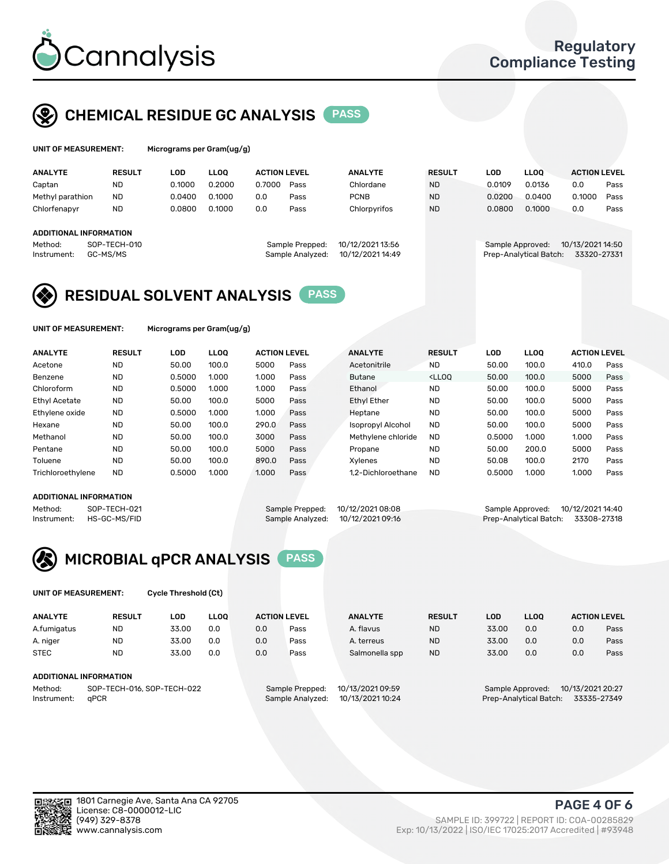

# CHEMICAL RESIDUE GC ANALYSIS PASS

| UNIT OF MEASUREMENT: |               |        | Micrograms per Gram(ug/g) |                     |                |               |        |             |                     |
|----------------------|---------------|--------|---------------------------|---------------------|----------------|---------------|--------|-------------|---------------------|
| <b>ANALYTE</b>       | <b>RESULT</b> | LOD    | LLOO                      | <b>ACTION LEVEL</b> | <b>ANALYTE</b> | <b>RESULT</b> | LOD    | <b>LLOO</b> | <b>ACTION LEVEL</b> |
| Captan               | <b>ND</b>     | 0.1000 | 0.2000                    | 0.7000<br>Pass      | Chlordane      | <b>ND</b>     | 0.0109 | 0.0136      | 0.0<br>Pass         |

| Methyl parathion       | <b>ND</b>                | 0.0400 | 0.1000 | 0.0 | Pass                                | PCNB                                 | <b>ND</b> | 0.0200           | 0.0400                 | 0.1000                          | Pass |
|------------------------|--------------------------|--------|--------|-----|-------------------------------------|--------------------------------------|-----------|------------------|------------------------|---------------------------------|------|
| Chlorfenapyr           | ND                       | 0.0800 | 0.1000 | 0.0 | Pass                                | Chlorpyrifos                         | <b>ND</b> | 0.0800           | 0.1000                 | 0.0                             | Pass |
| ADDITIONAL INFORMATION |                          |        |        |     |                                     |                                      |           |                  |                        |                                 |      |
| Method:<br>Instrument: | SOP-TECH-010<br>GC-MS/MS |        |        |     | Sample Prepped:<br>Sample Analyzed: | 10/12/2021 13:56<br>10/12/2021 14:49 |           | Sample Approved: | Prep-Analytical Batch: | 10/13/2021 14:50<br>33320-27331 |      |

# RESIDUAL SOLVENT ANALYSIS PASS

UNIT OF MEASUREMENT: Micrograms per Gram(ug/g)

| <b>ANALYTE</b>       | <b>RESULT</b> | <b>LOD</b> | <b>LLOO</b> | <b>ACTION LEVEL</b> |      | <b>ANALYTE</b>           | <b>RESULT</b>                                                               | <b>LOD</b> | LLOO  | <b>ACTION LEVEL</b> |      |
|----------------------|---------------|------------|-------------|---------------------|------|--------------------------|-----------------------------------------------------------------------------|------------|-------|---------------------|------|
| Acetone              | <b>ND</b>     | 50.00      | 100.0       | 5000                | Pass | Acetonitrile             | <b>ND</b>                                                                   | 50.00      | 100.0 | 410.0               | Pass |
| Benzene              | <b>ND</b>     | 0.5000     | 1.000       | 1.000               | Pass | <b>Butane</b>            | <lloo< td=""><td>50.00</td><td>100.0</td><td>5000</td><td>Pass</td></lloo<> | 50.00      | 100.0 | 5000                | Pass |
| Chloroform           | <b>ND</b>     | 0.5000     | 1.000       | 1.000               | Pass | Ethanol                  | <b>ND</b>                                                                   | 50.00      | 100.0 | 5000                | Pass |
| <b>Ethyl Acetate</b> | <b>ND</b>     | 50.00      | 100.0       | 5000                | Pass | <b>Ethyl Ether</b>       | <b>ND</b>                                                                   | 50.00      | 100.0 | 5000                | Pass |
| Ethylene oxide       | <b>ND</b>     | 0.5000     | 1.000       | 1.000               | Pass | Heptane                  | <b>ND</b>                                                                   | 50.00      | 100.0 | 5000                | Pass |
| Hexane               | <b>ND</b>     | 50.00      | 100.0       | 290.0               | Pass | <b>Isopropyl Alcohol</b> | <b>ND</b>                                                                   | 50.00      | 100.0 | 5000                | Pass |
| Methanol             | <b>ND</b>     | 50.00      | 100.0       | 3000                | Pass | Methylene chloride       | <b>ND</b>                                                                   | 0.5000     | 1.000 | 1.000               | Pass |
| Pentane              | <b>ND</b>     | 50.00      | 100.0       | 5000                | Pass | Propane                  | <b>ND</b>                                                                   | 50.00      | 200.0 | 5000                | Pass |
| Toluene              | <b>ND</b>     | 50.00      | 100.0       | 890.0               | Pass | Xvlenes                  | <b>ND</b>                                                                   | 50.08      | 100.0 | 2170                | Pass |
| Trichloroethylene    | <b>ND</b>     | 0.5000     | 1.000       | 1.000               | Pass | 1.2-Dichloroethane       | <b>ND</b>                                                                   | 0.5000     | 1.000 | 1.000               | Pass |

#### ADDITIONAL INFORMATION

Method: SOP-TECH-021 Sample Prepped: 10/12/2021 08:08 Sample Approved: 10/12/2021 14:40<br>Instrument: HS-GC-MS/FID Sample Analyzed: 10/12/2021 09:16 Prep-Analytical Batch: 33308-27318 Prep-Analytical Batch: 33308-27318



UNIT OF MEASUREMENT: Cycle Threshold (Ct)

| <b>ANALYTE</b>         | <b>RESULT</b>              | LOD   | <b>LLOO</b> |     | <b>ACTION LEVEL</b> | <b>ANALYTE</b>   | <b>RESULT</b> | <b>LOD</b> | <b>LLOO</b>            |                  | <b>ACTION LEVEL</b> |
|------------------------|----------------------------|-------|-------------|-----|---------------------|------------------|---------------|------------|------------------------|------------------|---------------------|
| A.fumigatus            | <b>ND</b>                  | 33.00 | 0.0         | 0.0 | Pass                | A. flavus        | <b>ND</b>     | 33.00      | 0.0                    | 0.0              | Pass                |
| A. niger               | <b>ND</b>                  | 33.00 | 0.0         | 0.0 | Pass                | A. terreus       | <b>ND</b>     | 33.00      | 0.0                    | 0.0              | Pass                |
| <b>STEC</b>            | <b>ND</b>                  | 33.00 | 0.0         | 0.0 | Pass                | Salmonella spp   | <b>ND</b>     | 33.00      | 0.0                    | 0.0              | Pass                |
| ADDITIONAL INFORMATION |                            |       |             |     |                     |                  |               |            |                        |                  |                     |
| Method:                | SOP-TECH-016, SOP-TECH-022 |       |             |     | Sample Prepped:     | 10/13/2021 09:59 |               |            | Sample Approved:       | 10/13/2021 20:27 |                     |
| Instrument:            | aPCR                       |       |             |     | Sample Analyzed:    | 10/13/2021 10:24 |               |            | Prep-Analytical Batch: |                  | 33335-27349         |

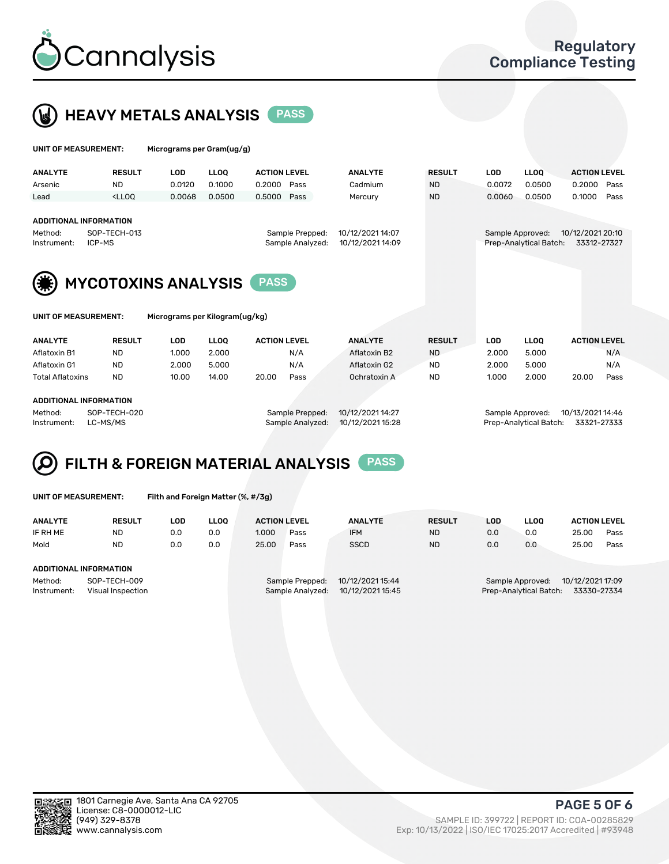

 $U$ UNIT OF MEASUREMENT: Micrograms per Gram(ug/g)



| <b>ANALYTE</b>                            | <b>RESULT</b>                                                                                                                                                       | <b>LOD</b>                     | <b>LLOO</b> | <b>ACTION LEVEL</b> | <b>ANALYTE</b>                       | <b>RESULT</b>                        | <b>LOD</b> | <b>LLOQ</b>                           | <b>ACTION LEVEL</b> |  |  |  |
|-------------------------------------------|---------------------------------------------------------------------------------------------------------------------------------------------------------------------|--------------------------------|-------------|---------------------|--------------------------------------|--------------------------------------|------------|---------------------------------------|---------------------|--|--|--|
| Arsenic                                   | <b>ND</b>                                                                                                                                                           | 0.0120                         | 0.1000      | 0.2000<br>Pass      | Cadmium                              | <b>ND</b>                            | 0.0072     | 0.0500                                | 0.2000<br>Pass      |  |  |  |
| Lead                                      | <lloo< td=""><td>0.0068</td><td>0.0500</td><td>0.5000<br/>Pass</td><td>Mercury</td><td><b>ND</b></td><td>0.0060</td><td>0.0500</td><td>0.1000<br/>Pass</td></lloo<> | 0.0068                         | 0.0500      | 0.5000<br>Pass      | Mercury                              | <b>ND</b>                            | 0.0060     | 0.0500                                | 0.1000<br>Pass      |  |  |  |
|                                           |                                                                                                                                                                     |                                |             |                     |                                      |                                      |            |                                       |                     |  |  |  |
|                                           | <b>ADDITIONAL INFORMATION</b>                                                                                                                                       |                                |             |                     |                                      |                                      |            |                                       |                     |  |  |  |
| Method:                                   | SOP-TECH-013                                                                                                                                                        |                                |             | Sample Prepped:     |                                      | 10/12/2021 20:10<br>Sample Approved: |            |                                       |                     |  |  |  |
| ICP-MS<br>Instrument:                     |                                                                                                                                                                     |                                |             |                     | 10/12/2021 14:09<br>Sample Analyzed: |                                      |            | Prep-Analytical Batch:<br>33312-27327 |                     |  |  |  |
|                                           |                                                                                                                                                                     |                                |             |                     |                                      |                                      |            |                                       |                     |  |  |  |
| <b>MYCOTOXINS ANALYSIS</b><br><b>PASS</b> |                                                                                                                                                                     |                                |             |                     |                                      |                                      |            |                                       |                     |  |  |  |
| UNIT OF MEASUREMENT:                      |                                                                                                                                                                     | Micrograms per Kilogram(ug/kg) |             |                     |                                      |                                      |            |                                       |                     |  |  |  |
| <b>ANALYTE</b>                            | <b>RESULT</b>                                                                                                                                                       | <b>LOD</b>                     | <b>LLOO</b> | <b>ACTION LEVEL</b> | <b>ANALYTE</b>                       | <b>RESULT</b>                        | <b>LOD</b> | <b>LLOQ</b>                           | <b>ACTION LEVEL</b> |  |  |  |
| Aflatoxin B1                              | <b>ND</b>                                                                                                                                                           | 1.000                          | 2.000       | N/A                 | Aflatoxin B2                         | <b>ND</b>                            | 2.000      | 5.000                                 | N/A                 |  |  |  |

Aflatoxin G1 ND 2.000 5.000 N/A Aflatoxin G2 ND 2.000 5.000 N/A Total Aflatoxins ND 10.00 14.00 20.00 Pass Ochratoxin A ND 1.000 2.000 20.00 Pass

#### ADDITIONAL INFORMATION

Method: SOP-TECH-020 Sample Prepped: 10/12/2021 14:27 Sample Approved: 10/13/2021 14:46 Instrument: LC-MS/MS Sample Analyzed: 10/12/2021 15:28 Prep-Analytical Batch: 33321-27333



UNIT OF MEASUREMENT: Filth and Foreign Matter (%, #/3g)

| <b>ANALYTE</b><br><b>RESULT</b>                             |           | LOD | <b>LLOO</b> | <b>ACTION LEVEL</b>                                                         |      | <b>ANALYTE</b> | <b>RESULT</b> | LOD                                                                           | LLOO | <b>ACTION LEVEL</b> |      |
|-------------------------------------------------------------|-----------|-----|-------------|-----------------------------------------------------------------------------|------|----------------|---------------|-------------------------------------------------------------------------------|------|---------------------|------|
| IF RH ME                                                    | <b>ND</b> | 0.0 | 0.0         | 1.000                                                                       | Pass | <b>IFM</b>     | <b>ND</b>     | 0.0                                                                           | 0.0  | 25.00               | Pass |
| Mold                                                        | <b>ND</b> | 0.0 | 0.0         | 25.00                                                                       | Pass | <b>SSCD</b>    | <b>ND</b>     | 0.0                                                                           | 0.0  | 25.00               | Pass |
| <b>ADDITIONAL INFORMATION</b>                               |           |     |             |                                                                             |      |                |               |                                                                               |      |                     |      |
| Method:<br>SOP-TECH-009<br>Instrument:<br>Visual Inspection |           |     |             | 10/12/2021 15:44<br>Sample Prepped:<br>10/12/2021 15:45<br>Sample Analyzed: |      |                |               | 10/12/2021 17:09<br>Sample Approved:<br>Prep-Analytical Batch:<br>33330-27334 |      |                     |      |